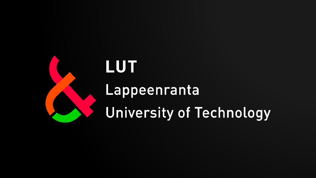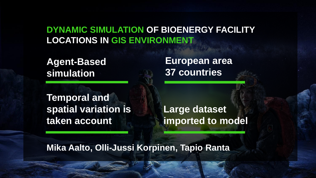#### **DYNAMIC SIMULATION OF BIOENERGY FACILITY LOCATIONS IN GIS ENVIRONMENT**

**Agent-Based simulation**

**Temporal and spatial variation is taken account**

**European area 37 countries**

**Large dataset imported to model**

**Mika Aalto, Olli-Jussi Korpinen, Tapio Ranta**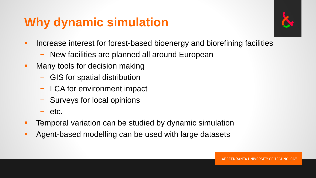## **Why dynamic simulation**



- **Increase interest for forest-based bioenergy and biorefining facilities** 
	- − New facilities are planned all around European
- **Many tools for decision making** 
	- − GIS for spatial distribution
	- − LCA for environment impact
	- − Surveys for local opinions
	- − etc.
- Temporal variation can be studied by dynamic simulation
- **Agent-based modelling can be used with large datasets**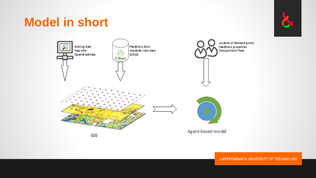## **Model in short**



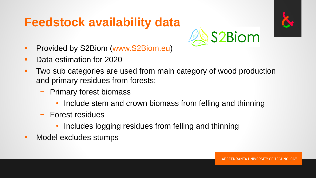## **Feedstock availability data**



- **Provided by S2Biom [\(www.S2Biom.eu](http://www.s2biom.eu/))**
- Data estimation for 2020
- **Two sub categories are used from main category of wood production** and primary residues from forests:
	- − Primary forest biomass
		- Include stem and crown biomass from felling and thinning
	- − Forest residues
		- Includes logging residues from felling and thinning
- **Nodel excludes stumps**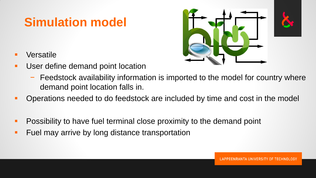## **Simulation model**

- **Nersatile**
- **User define demand point location**



- − Feedstock availability information is imported to the model for country where demand point location falls in.
- Operations needed to do feedstock are included by time and cost in the model
- **Possibility to have fuel terminal close proximity to the demand point**
- **Fuel may arrive by long distance transportation**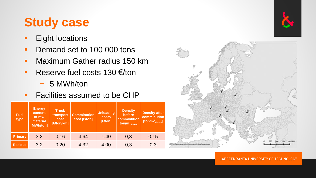## **Study case**

- **Eight locations**
- Demand set to 100 000 tons
- Maximum Gather radius 150 km
- Reserve fuel costs  $130 \text{ } \infty$ /ton
	- − 5 MWh/ton
- **Facilities assumed to be CHP**

| <b>Fuel</b><br>type | <b>Energy</b><br>content<br>of raw<br>material<br>[MWh/ton] | <b>Truck</b><br>transport<br>cost<br>[€/ton/km] | <b>Comminution</b><br>cost [€/ton] | <b>Unloading</b><br>costs<br>[€/ton] | <b>Density</b><br>before<br>comminution<br>[ton/ $m^3$ <sub>-loose</sub> ] | <b>Density after</b><br>comminution<br>$[ton/m3$ -loose] |
|---------------------|-------------------------------------------------------------|-------------------------------------------------|------------------------------------|--------------------------------------|----------------------------------------------------------------------------|----------------------------------------------------------|
| <b>Primary</b>      | 3,2                                                         | 0,16                                            | 4,64                               | 1,40                                 | 0,3                                                                        | 0,15                                                     |
| <b>Residue</b>      | 3,2                                                         | 0,20                                            | 4,32                               | 4,00                                 | 0,3                                                                        | 0,3                                                      |



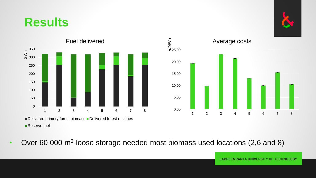### **Results**





Delivered primery forest biomass Delivered forest residues

■ Reserve fuel

• Over 60 000 m<sup>3</sup>-loose storage needed most biomass used locations (2,6 and 8)



**LAPPEENRANTA UNIVERSITY OF TECHNOLOGY**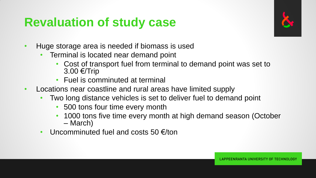## **Revaluation of study case**



- Huge storage area is needed if biomass is used
	- Terminal is located near demand point
		- Cost of transport fuel from terminal to demand point was set to 3.00 €/Trip
		- Fuel is comminuted at terminal
- Locations near coastline and rural areas have limited supply
	- Two long distance vehicles is set to deliver fuel to demand point
		- 500 tons four time every month
		- 1000 tons five time every month at high demand season (October – March)
	- Uncomminuted fuel and costs 50 €/ton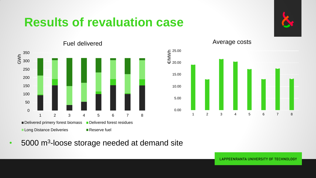## **Results of revaluation case**



0 50 100 150 200 250 ⋚<br>⊙ 300 350 1 2 3 4 5 6 7 8 Delivered primery forest biomass Delivered forest residues Long Distance Deliveries Reserve fuel

Fuel delivered



Average costs

• 5000 m<sup>3</sup>-loose storage needed at demand site

**LAPPEENRANTA UNIVERSITY OF TECHNOLOGY**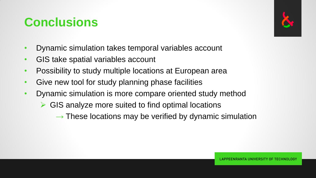## **Conclusions**

- Dynamic simulation takes temporal variables account
- GIS take spatial variables account
- Possibility to study multiple locations at European area
- Give new tool for study planning phase facilities
- Dynamic simulation is more compare oriented study method
	- $\triangleright$  GIS analyze more suited to find optimal locations
		- $\rightarrow$  These locations may be verified by dynamic simulation